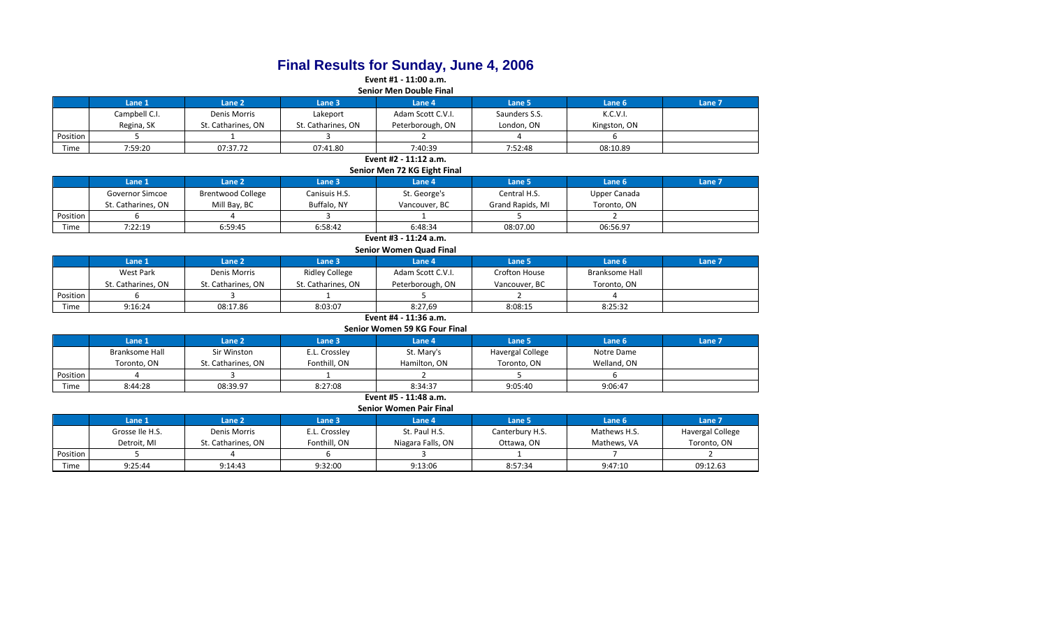# **Final Results for Sunday, June 4, 2006**

**Event #1 - 11:00 a.m. Senior Men Double Final**

|          | Senior ivien Double Final |                    |                    |                   |               |              |                   |  |  |  |  |
|----------|---------------------------|--------------------|--------------------|-------------------|---------------|--------------|-------------------|--|--|--|--|
|          | Lane 1                    | Lane <sub>2</sub>  | Lane 3             | Lane 4            | Lane 5        | Lane 6       | Lane <sub>7</sub> |  |  |  |  |
|          | Campbell C.I.             | Denis Morris       | Lakeport           | Adam Scott C.V.I. | Saunders S.S. | K.C.V.I.     |                   |  |  |  |  |
|          | Regina, SK                | St. Catharines, ON | St. Catharines, ON | Peterborough, ON  | London, ON    | Kingston, ON |                   |  |  |  |  |
| Position |                           |                    |                    |                   |               |              |                   |  |  |  |  |
| Time     | 7:59:20                   | 07:37.72           | 07:41.80           | 7:40:39           | 7:52:48       | 08:10.89     |                   |  |  |  |  |

#### **Event #2 - 11:12 a.m. Senior Men 72 KG Eight Final**

|                       | Senior ivien 72 NG Eight Final                                     |                          |               |               |                  |              |  |  |  |  |  |  |
|-----------------------|--------------------------------------------------------------------|--------------------------|---------------|---------------|------------------|--------------|--|--|--|--|--|--|
|                       | Lane 2<br>Lane 7<br>Lane 6<br>Lane 1<br>Lane 4<br>Lane 5<br>Lane 3 |                          |               |               |                  |              |  |  |  |  |  |  |
|                       | Governor Simcoe                                                    | <b>Brentwood College</b> | Canisuis H.S. | St. George's  | Central H.S.     | Upper Canada |  |  |  |  |  |  |
|                       | St. Catharines, ON                                                 | Mill Bay, BC             | Buffalo, NY   | Vancouver, BC | Grand Rapids, MI | Toronto, ON  |  |  |  |  |  |  |
| Position              |                                                                    |                          |               |               |                  |              |  |  |  |  |  |  |
| Time                  | 7:22:19                                                            | 6:59:45                  | 6:58:42       | 6:48:34       | 08:07.00         | 06:56.97     |  |  |  |  |  |  |
| Event #3 - 11:24 a.m. |                                                                    |                          |               |               |                  |              |  |  |  |  |  |  |

**Senior Women Quad Final**

|          | <u>SCHIOL WOULDED QUUU LIIUL</u> |                    |                    |                   |               |                |        |  |  |  |  |
|----------|----------------------------------|--------------------|--------------------|-------------------|---------------|----------------|--------|--|--|--|--|
|          | Lane 1                           | Lane 2             | Lane 3             | Lane 4            | Lane 5        | Lane 6         | Lane 7 |  |  |  |  |
|          | West Park                        | Denis Morris       | Ridley College     | Adam Scott C.V.I. | Crofton House | Branksome Hall |        |  |  |  |  |
|          | St. Catharines, ON               | St. Catharines. ON | St. Catharines, ON | Peterborough, ON  | Vancouver, BC | Toronto, ON    |        |  |  |  |  |
| Position |                                  |                    |                    |                   |               |                |        |  |  |  |  |
| Time     | 9:16:24                          | 08:17.86           | 8:03:07            | 8:27.69           | 8:08:15       | 8:25:32        |        |  |  |  |  |
|          | Event #4 - 11:36 a.m.            |                    |                    |                   |               |                |        |  |  |  |  |

**Senior Women 59 KG Four Final**

|          | Lane 1                | Lane 2             | Lane 3        | Lane 4       | Lane 5                  | Lane 6      | Lane <sub>7</sub> |  |  |  |  |
|----------|-----------------------|--------------------|---------------|--------------|-------------------------|-------------|-------------------|--|--|--|--|
|          | <b>Branksome Hall</b> | Sir Winston        | E.L. Crossley | St. Mary's   | <b>Havergal College</b> | Notre Dame  |                   |  |  |  |  |
|          | Toronto, ON           | St. Catharines, ON | Fonthill, ON  | Hamilton, ON | Toronto, ON             | Welland, ON |                   |  |  |  |  |
| Position |                       |                    |               |              |                         |             |                   |  |  |  |  |
| Time     | 8:44:28               | 08:39.97           | 8:27:08       | 8:34:37      | 9:05:40                 | 9:06:47     |                   |  |  |  |  |

### **Event #5 - 11:48 a.m. Senior Women Pair Final**

|          | $551101$ vv $511151$ and the state |                    |                   |                   |                 |              |                  |  |  |  |  |
|----------|------------------------------------|--------------------|-------------------|-------------------|-----------------|--------------|------------------|--|--|--|--|
|          | Lane 1                             | Lane <sub>2</sub>  | Lane <sub>3</sub> | Lane 4            | Lane 5          | Lane 6       | Lane 7           |  |  |  |  |
|          | Grosse Ile H.S.                    | Denis Morris       | E.L. Crossley     | St. Paul H.S.     | Canterbury H.S. | Mathews H.S. | Havergal College |  |  |  |  |
|          | Detroit. MI                        | St. Catharines. ON | Fonthill, ON      | Niagara Falls, ON | Ottawa, ON      | Mathews, VA  | Toronto, ON      |  |  |  |  |
| Position |                                    |                    |                   |                   |                 |              |                  |  |  |  |  |
| Time     | 9:25:44                            | 9:14:43            | 9:32:00           | 9:13:06           | 8:57:34         | 9:47:10      | 09:12.63         |  |  |  |  |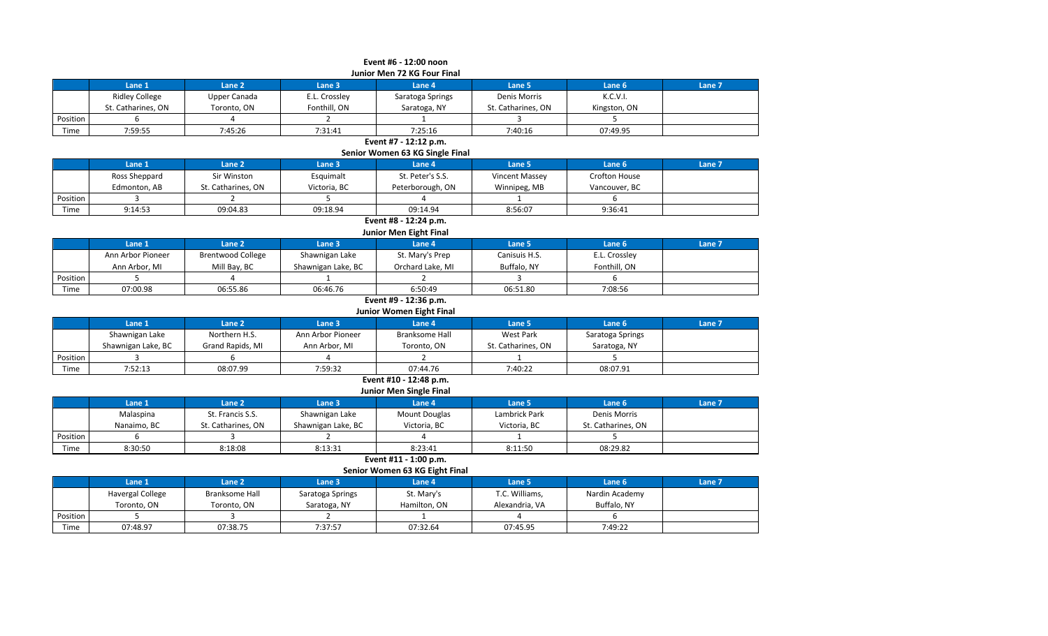|          | Event #6 - 12:00 noon       |              |               |                  |                    |              |        |  |  |  |  |  |
|----------|-----------------------------|--------------|---------------|------------------|--------------------|--------------|--------|--|--|--|--|--|
|          | Junior Men 72 KG Four Final |              |               |                  |                    |              |        |  |  |  |  |  |
|          | Lane 1                      | Lane 2       | Lane 3        | <b>Lane 4</b>    | Lane 5             | Lane 6       | Lane 7 |  |  |  |  |  |
|          | Ridley College              | Upper Canada | E.L. Crossley | Saratoga Springs | Denis Morris       | K.C.V.I.     |        |  |  |  |  |  |
|          | St. Catharines, ON          | Toronto, ON  | Fonthill, ON  | Saratoga, NY     | St. Catharines, ON | Kingston, ON |        |  |  |  |  |  |
| Position |                             |              |               |                  |                    |              |        |  |  |  |  |  |
| Time     | 7:59:55                     | 7:45:26      | 7:31:41       | 7:25:16          | 7:40:16            | 07:49.95     |        |  |  |  |  |  |
|          |                             |              |               |                  |                    |              |        |  |  |  |  |  |

**Event #7 - 12:12 p.m.**

**Senior Women 63 KG Single Final**

|          | Lane 1        | Lane 2             | Lane 3       | Lane 4           | Lane 5         | Lane <sub>6</sub>    | Lane 7 |  |  |  |
|----------|---------------|--------------------|--------------|------------------|----------------|----------------------|--------|--|--|--|
|          | Ross Sheppard | Sir Winston        | Esquimalt    | St. Peter's S.S. | Vincent Massey | <b>Crofton House</b> |        |  |  |  |
|          | Edmonton, AB  | St. Catharines, ON | Victoria. BC | Peterborough, ON | Winnipeg, MB   | Vancouver. BC        |        |  |  |  |
| Position |               |                    |              |                  |                |                      |        |  |  |  |
| Time     | 9:14:53       | 09:04.83           | 09:18.94     | 09:14.94         | 8:56:07        | 9:36:41              |        |  |  |  |

**Event #8 - 12:24 p.m. Junior Men Eight Final**

|          | Lane 1            | Lane <sub>2</sub>        | Lane 3             | Lane 4           | Lane 5        | Lane <sub>6</sub> | Lane 7 |  |  |  |  |
|----------|-------------------|--------------------------|--------------------|------------------|---------------|-------------------|--------|--|--|--|--|
|          | Ann Arbor Pioneer | <b>Brentwood College</b> | Shawnigan Lake     | St. Mary's Prep  | Canisuis H.S. | E.L. Crossley     |        |  |  |  |  |
|          | Ann Arbor, MI     | Mill Bay, BC             | Shawnigan Lake, BC | Orchard Lake, MI | Buffalo, NY   | Fonthill, ON      |        |  |  |  |  |
| Position |                   |                          |                    |                  |               |                   |        |  |  |  |  |
| Time     | 07:00.98          | 06:55.86                 | 06:46.76           | 6:50:49          | 06:51.80      | 7:08:56           |        |  |  |  |  |

# **Event #9 - 12:36 p.m.**

**Lane 1 Lane 2 Lane 3 Lane 4 Lane 5 Lane 6 Lane 7** Shawnigan Lake Northern H.S. Ann Arbor Pioneer Branksome Hall West Park Saratoga Springs Shawnigan Lake, BC Grand Rapids, MI Ann Arbor, MI Toronto, ON St. Catharines, ON Saratoga, NY **Junior Women Eight Final**

| Position |                      |          |              |          |         |                                  |
|----------|----------------------|----------|--------------|----------|---------|----------------------------------|
| Time     | 7.52.12<br>ر … ے ر . | 08:07.99 | 7.50.27<br>. | ገ7:44.76 | 7:40:22 | <b>08:07.91</b><br><u>vu.v.u</u> |

### **Event #10 - 12:48 p.m. Junior Men Single Final**

|                 | <b>JUILOF IVICH SHIRIC FINAL</b> |                    |                    |                      |               |                    |        |  |  |  |  |  |
|-----------------|----------------------------------|--------------------|--------------------|----------------------|---------------|--------------------|--------|--|--|--|--|--|
|                 | Lane 1                           | Lane <sub>2</sub>  | Lane 3'            | Lane 4               | Lane 5        | Lane 6             | Lane 7 |  |  |  |  |  |
|                 | Malaspina                        | St. Francis S.S.   | Shawnigan Lake     | <b>Mount Douglas</b> | Lambrick Park | Denis Morris       |        |  |  |  |  |  |
|                 | Nanaimo. BC                      | St. Catharines. ON | Shawnigan Lake, BC | Victoria, BC         | Victoria, BC  | St. Catharines. ON |        |  |  |  |  |  |
| <b>Position</b> |                                  |                    |                    |                      |               |                    |        |  |  |  |  |  |
| Time            | 8:30:50                          | 8:18:08            | 8:13:31            | 8:23:41              | 8:11:50       | 08:29.82           |        |  |  |  |  |  |

**Event #11 - 1:00 p.m.**

**Senior Women 63 KG Eight Final**

|          | Lane 1                  | Lane <sub>2</sub>     | Lane <sub>3</sub> | Lane 4       | Lane 5         | Lane <sub>6</sub> | Lane <sub>7</sub> |
|----------|-------------------------|-----------------------|-------------------|--------------|----------------|-------------------|-------------------|
|          | <b>Havergal College</b> | <b>Branksome Hall</b> | Saratoga Springs  | St. Mary's   | T.C. Williams, | Nardin Academy    |                   |
|          | Toronto, ON             | Toronto, ON           | Saratoga, NY      | Hamilton, ON | Alexandria, VA | Buffalo. NY       |                   |
| Position |                         |                       |                   |              |                |                   |                   |
| Time     | 07:48.97                | 07:38.75              | 7:37:57           | 07:32.64     | 07:45.95       | 7:49:22           |                   |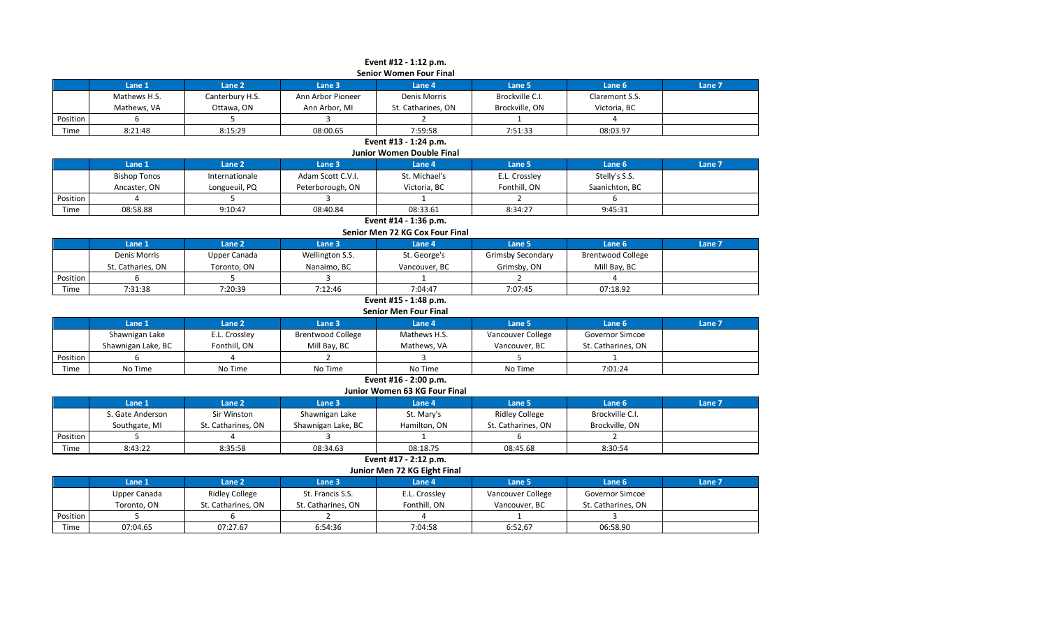|          | Event #12 - 1:12 p.m.<br><b>Senior Women Four Final</b> |                 |                   |                    |                 |                |        |  |  |  |  |  |
|----------|---------------------------------------------------------|-----------------|-------------------|--------------------|-----------------|----------------|--------|--|--|--|--|--|
|          |                                                         |                 |                   |                    |                 |                |        |  |  |  |  |  |
|          | Lane 1                                                  | Lane 2          | Lane 3            | Lane 4             | Lane 5          | Lane 6         | Lane 7 |  |  |  |  |  |
|          | Mathews H.S.                                            | Canterbury H.S. | Ann Arbor Pioneer | Denis Morris       | Brockville C.I. | Claremont S.S. |        |  |  |  |  |  |
|          | Mathews, VA                                             | Ottawa, ON      | Ann Arbor, MI     | St. Catharines, ON | Brockville, ON  | Victoria, BC   |        |  |  |  |  |  |
| Position |                                                         |                 |                   |                    |                 |                |        |  |  |  |  |  |
| Time     | 8:21:48                                                 | 8:15:29         | 08:00.65          | 7:59:58            | 7:51:33         | 08:03.97       |        |  |  |  |  |  |
|          | Event #13 - 1:24 p.m.                                   |                 |                   |                    |                 |                |        |  |  |  |  |  |

**Junior Women Double Final**

|          | Lane 1              | Lane 2         | Lane 3            | Lane 4        | Lane 5        | Lane <sub>6</sub> | Lane 7 |  |  |
|----------|---------------------|----------------|-------------------|---------------|---------------|-------------------|--------|--|--|
|          | <b>Bishop Tonos</b> | Internationale | Adam Scott C.V.I. | St. Michael's | E.L. Crossley | Stelly's S.S.     |        |  |  |
|          | Ancaster, ON        | Longueuil, PQ  | Peterborough, ON  | Victoria, BC  | Fonthill, ON  | Saanichton, BC    |        |  |  |
| Position |                     |                |                   |               |               |                   |        |  |  |
| Time     | 08:58.88            | 9:10:47        | 08:40.84          | 08:33.61      | 8:34:27       | 9:45:31           |        |  |  |

#### **Event #14 - 1:36 p.m. Senior Men 72 KG Cox Four Final**

|          | <b>SEINOL IVIEN 72 NO COX FOUL FINAL</b> |              |                 |               |                          |                          |        |  |  |  |
|----------|------------------------------------------|--------------|-----------------|---------------|--------------------------|--------------------------|--------|--|--|--|
|          | <b>Lane 1</b>                            | Lane 2       | Lane 3          | Lane 4        | Lane 5                   | Lane <sub>6</sub>        | Lane 7 |  |  |  |
|          | Denis Morris                             | Upper Canada | Wellington S.S. | St. George's  | <b>Grimsby Secondary</b> | <b>Brentwood College</b> |        |  |  |  |
|          | St. Catharies, ON                        | Toronto, ON  | Nanaimo. BC     | Vancouver, BC | Grimsby, ON              | Mill Bay, BC             |        |  |  |  |
| Position |                                          |              |                 |               |                          |                          |        |  |  |  |
| Time     | 7:31:38                                  | 7:20:39      | 7:12:46         | 7:04:47       | 7:07:45                  | 07:18.92                 |        |  |  |  |

### **Event #15 - 1:48 p.m. Senior Men Four Final**

|          | <b>JEINUL IVIEN LUUL LINGL</b> |                   |                          |              |                   |                    |               |  |  |
|----------|--------------------------------|-------------------|--------------------------|--------------|-------------------|--------------------|---------------|--|--|
|          | Lane 1                         | Lane <sub>2</sub> | Lane 3                   | Lane 4       | Lane 5            | Lane <sub>6</sub>  | <b>Lane 7</b> |  |  |
|          | Shawnigan Lake                 | E.L. Crossley     | <b>Brentwood College</b> | Mathews H.S. | Vancouver College | Governor Simcoe    |               |  |  |
|          | Shawnigan Lake, BC             | Fonthill, ON      | Mill Bay, BC             | Mathews. VA  | Vancouver, BC     | St. Catharines. ON |               |  |  |
| Position |                                |                   |                          |              |                   |                    |               |  |  |
| Time     | No Time                        | No Time           | No Time                  | No Time      | No Time           | 7:01:24            |               |  |  |

# **Event #16 - 2:00 p.m. Junior Women 63 KG Four Final**

|                 | Lane 1           | Lane 2             | Lane <sub>3</sub>  | Lane 4       | Lane 5                | Lane 6          | Lane 7 |  |  |
|-----------------|------------------|--------------------|--------------------|--------------|-----------------------|-----------------|--------|--|--|
|                 | S. Gate Anderson | Sir Winston        | Shawnigan Lake     | St. Mary's   | <b>Ridley College</b> | Brockville C.I. |        |  |  |
|                 | Southgate, MI    | St. Catharines. ON | Shawnigan Lake, BC | Hamilton, ON | St. Catharines. ON    | Brockville, ON  |        |  |  |
| <b>Position</b> |                  |                    |                    |              |                       |                 |        |  |  |
| Time            | 8:43:22          | 8:35:58            | 08:34.63           | 08:18.75     | 08:45.68              | 8:30:54         |        |  |  |

**Event #17 - 2:12 p.m.**

**Junior Men 72 KG Eight Final**

|          | Lane 1       | Lane 2                | Lane 3             | Lane 4        | Lane 5            | Lane 6             | Lane 7 |  |  |
|----------|--------------|-----------------------|--------------------|---------------|-------------------|--------------------|--------|--|--|
|          | Upper Canada | <b>Ridley College</b> | St. Francis S.S.   | E.L. Crossley | Vancouver College | Governor Simcoe    |        |  |  |
|          | Toronto, ON  | St. Catharines, ON    | St. Catharines, ON | Fonthill, ON  | Vancouver, BC     | St. Catharines, ON |        |  |  |
| Position |              |                       |                    |               |                   |                    |        |  |  |
| Time     | 07:04.65     | 07:27.67              | 6:54:36            | 7:04:58       | 6:52,67           | 06:58.90           |        |  |  |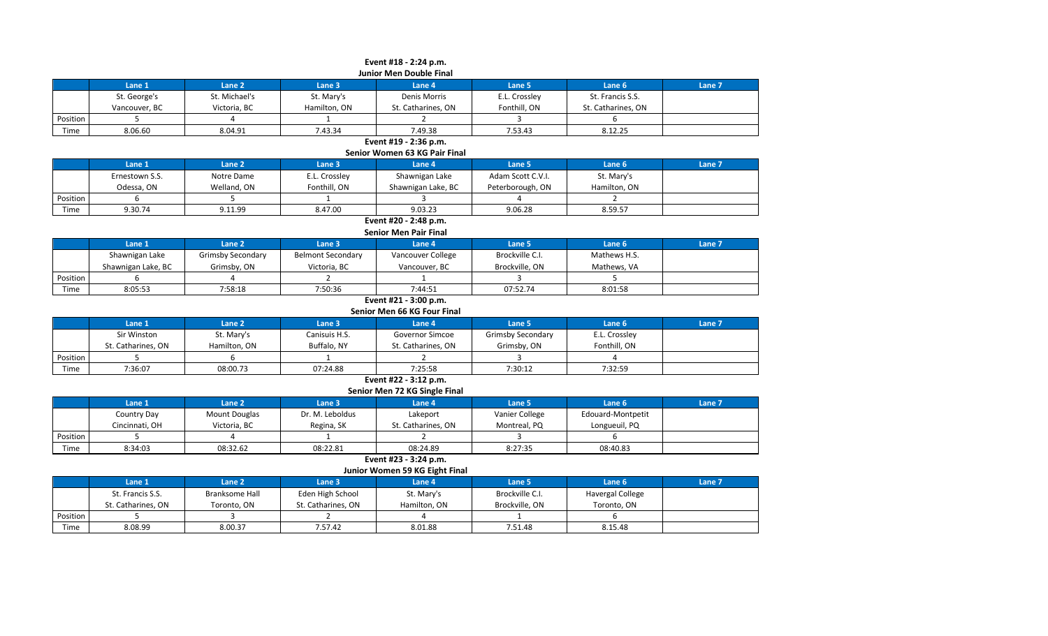|          | Event #18 - 2:24 p.m.<br><b>Junior Men Double Final</b> |               |              |                    |               |                    |        |  |  |  |  |
|----------|---------------------------------------------------------|---------------|--------------|--------------------|---------------|--------------------|--------|--|--|--|--|
|          | Lane 1                                                  | Lane 2        | Lane 3       | Lane 4             | Lane 5        | Lane 6             | Lane 7 |  |  |  |  |
|          | St. George's                                            | St. Michael's | St. Mary's   | Denis Morris       | E.L. Crossley | St. Francis S.S.   |        |  |  |  |  |
|          | Vancouver, BC                                           | Victoria, BC  | Hamilton, ON | St. Catharines, ON | Fonthill, ON  | St. Catharines, ON |        |  |  |  |  |
| Position |                                                         |               |              |                    |               | ь                  |        |  |  |  |  |
| Time     | 8.06.60                                                 | 8.04.91       | 7.43.34      | 7.49.38            | 7.53.43       | 8.12.25            |        |  |  |  |  |

# **Event #19 - 2:36 p.m.**

**Senior Women 63 KG Pair Final**

|          | Lane 1         | Lane 2      | Lane 3        | Lane 4             | Lane 5            | Lane <sub>6</sub> | Lane 7 |  |  |
|----------|----------------|-------------|---------------|--------------------|-------------------|-------------------|--------|--|--|
|          | Ernestown S.S. | Notre Dame  | E.L. Crossley | Shawnigan Lake     | Adam Scott C.V.I. | St. Mary's        |        |  |  |
|          | Odessa, ON     | Welland, ON | Fonthill, ON  | Shawnigan Lake, BC | Peterborough, ON  | Hamilton, ON      |        |  |  |
| Position |                |             |               |                    |                   |                   |        |  |  |
| Time     | 9.30.74        | 9.11.99     | 8.47.00       | 9.03.23            | 9.06.28           | 8.59.57           |        |  |  |

**Event #20 - 2:48 p.m. Senior Men Pair Final**

|          | Lane 1             | Lane 2                   | Lane <sub>3</sub> | Lane 4            | ane 5.          | Lane 6       | Lane 7 |  |  |
|----------|--------------------|--------------------------|-------------------|-------------------|-----------------|--------------|--------|--|--|
|          | Shawnigan Lake     | <b>Grimsby Secondary</b> | Belmont Secondary | Vancouver College | Brockville C.I. | Mathews H.S. |        |  |  |
|          | Shawnigan Lake, BC | Grimsby, ON              | Victoria, BC      | Vancouver, BC     | Brockville, ON  | Mathews, VA  |        |  |  |
| Position |                    |                          |                   |                   |                 |              |        |  |  |
| Time     | 8:05:53            | 7:58:18                  | 7:50:36           | 7:44:51           | 07:52.74        | 8:01:58      |        |  |  |

# **Event #21 - 3:00 p.m.**

**Senior Men 66 KG Four Final**

|          | Lane 1             | Lane 2       | Lane 3        | Lane 4             | Lane 5            | Lane <sub>6</sub> | Lane <sub>7</sub> |
|----------|--------------------|--------------|---------------|--------------------|-------------------|-------------------|-------------------|
|          | Sir Winston        | St. Mary's   | Canisuis H.S. | Governor Simcoe    | Grimsby Secondary | E.L. Crossley     |                   |
|          | St. Catharines, ON | Hamilton, ON | Buffalo, NY   | St. Catharines, ON | Grimsby, ON       | Fonthill, ON      |                   |
| Position |                    |              |               |                    |                   |                   |                   |
| Time     | 7:36:07            | 08:00.73     | 07:24.88      | 7:25:58            | 7:30:12           | 7:32:59           |                   |

# **Event #22 - 3:12 p.m. Senior Men 72 KG Single Final**

|          | Lane 1         | Lane 2               | Lane <sub>3</sub> | Lane 4             | Lane 5         | Lane 6            | Lane 7 |  |  |  |
|----------|----------------|----------------------|-------------------|--------------------|----------------|-------------------|--------|--|--|--|
|          | Country Day    | <b>Mount Douglas</b> | Dr. M. Leboldus   | Lakeport           | Vanier College | Edouard-Montpetit |        |  |  |  |
|          | Cincinnati, OH | Victoria, BC         | Regina, SK        | St. Catharines. ON | Montreal, PQ   | Longueuil, PQ     |        |  |  |  |
| Position |                |                      |                   |                    |                |                   |        |  |  |  |
| Time     | 8:34:03        | 08:32.62             | 08:22.81          | 08:24.89           | 8:27:35        | 08:40.83          |        |  |  |  |

**Event #23 - 3:24 p.m.**

### **Junior Women 59 KG Eight Final**

|          | Lane 1             | Lane 2         | Lane 3             | Lane 4       | Lane 5          | Lane 6           | Lane 7 |
|----------|--------------------|----------------|--------------------|--------------|-----------------|------------------|--------|
|          | St. Francis S.S.   | Branksome Hall | Eden High School   | St. Mary's   | Brockville C.I. | Havergal College |        |
|          | St. Catharines. ON | Toronto, ON    | St. Catharines, ON | Hamilton, ON | Brockville, ON  | Toronto, ON      |        |
| Position |                    |                |                    |              |                 |                  |        |
| Time     | 8.08.99            | 8.00.37        | 7.57.42            | 8.01.88      | 7.51.48         | 8.15.48          |        |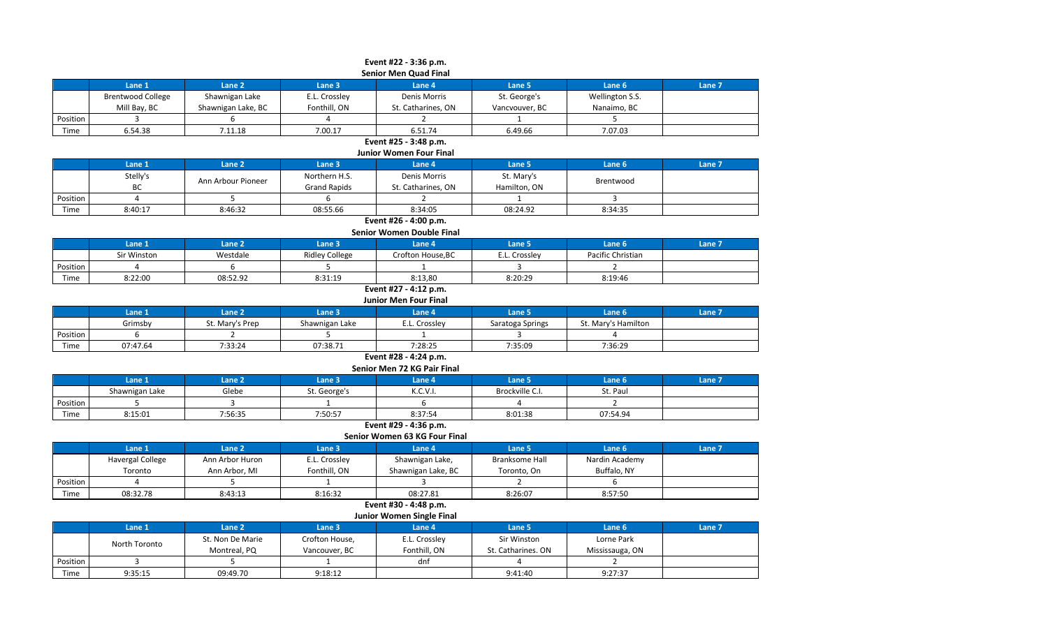|          | Event #22 - 3:36 p.m.        |                    |               |                    |                |                 |        |  |  |  |  |
|----------|------------------------------|--------------------|---------------|--------------------|----------------|-----------------|--------|--|--|--|--|
|          | <b>Senior Men Quad Final</b> |                    |               |                    |                |                 |        |  |  |  |  |
|          | Lane 1                       | Lane 2             | Lane 3        | Lane 4             | Lane 5         | Lane 6          | Lane 7 |  |  |  |  |
|          | <b>Brentwood College</b>     | Shawnigan Lake     | E.L. Crossley | Denis Morris       | St. George's   | Wellington S.S. |        |  |  |  |  |
|          | Mill Bay, BC                 | Shawnigan Lake, BC | Fonthill, ON  | St. Catharines, ON | Vancvouver, BC | Nanaimo, BC     |        |  |  |  |  |
| Position |                              |                    |               |                    |                |                 |        |  |  |  |  |
| Time     | 6.54.38                      | 7.11.18            | 7.00.17       | 6.51.74            | 6.49.66        | 7.07.03         |        |  |  |  |  |

**Event #25 - 3:48 p.m.**

**Junior Women Four Final**

|          | Lane 1   | Lane 2             | Lane 3              | Lane 4             | Lane 5       | Lane <sub>6</sub> | Lane 7 |  |  |  |
|----------|----------|--------------------|---------------------|--------------------|--------------|-------------------|--------|--|--|--|
|          | Stelly's | Ann Arbour Pioneer | Northern H.S.       | Denis Morris       | St. Mary's   | Brentwood         |        |  |  |  |
|          | ВC       |                    | <b>Grand Rapids</b> | St. Catharines, ON | Hamilton, ON |                   |        |  |  |  |
| Position |          |                    |                     |                    |              |                   |        |  |  |  |
| Time     | 8:40:17  | 8:46:32            | 08:55.66            | 8:34:05            | 08:24.92     | 8:34:35           |        |  |  |  |

# **Event #26 - 4:00 p.m.**

|          | Senior Women Double Final                                                            |          |                |                   |               |                   |  |  |  |  |  |
|----------|--------------------------------------------------------------------------------------|----------|----------------|-------------------|---------------|-------------------|--|--|--|--|--|
|          | Lane 1<br>Lane 7<br>Lane <sub>2</sub><br>Lane 6<br>Lane 5<br>Lane 4<br><b>Lane 3</b> |          |                |                   |               |                   |  |  |  |  |  |
|          | Sir Winston                                                                          | Westdale | Ridley College | Crofton House, BC | E.L. Crosslev | Pacific Christian |  |  |  |  |  |
| Position |                                                                                      |          |                |                   |               |                   |  |  |  |  |  |
| Time     | 8:22:00                                                                              | 08:52.92 | 8:31:19        | 8:13.80           | 8:20:29       | 8:19:46           |  |  |  |  |  |

### **Event #27 - 4:12 p.m. Junior Men Four Final**

| JUINUI IVIEN LUUI LIIIAI |          |                 |                |          |                  |                     |        |  |
|--------------------------|----------|-----------------|----------------|----------|------------------|---------------------|--------|--|
|                          | Lane 1   | Lane 2          | Lane 3         | Lane 4   | Lane 5           | Lane 6              | Lane 7 |  |
|                          | Grimsby  | St. Mary's Prep | Shawnigan Lake | Crosslev | Saratoga Springs | St. Mary's Hamilton |        |  |
| Position                 |          |                 |                |          |                  |                     |        |  |
| Time                     | 07:47.64 | 7:33:24         | 07:38.71       | 7:28:25  | 7:35:09          | 7:36:29             |        |  |

# **Event #28 - 4:24 p.m.**

| Senior Men 72 KG Pair Final |  |
|-----------------------------|--|
|-----------------------------|--|

|                       | Lane 1         | Lane <sub>2</sub> | Lane 3       | Lane 4   | Lane 5          | Lane 6   | Lane 7 |  |  |
|-----------------------|----------------|-------------------|--------------|----------|-----------------|----------|--------|--|--|
|                       | Shawnigan Lake | Glebe             | St. George's | K.C.V.I. | Brockville C.I. | St. Paul |        |  |  |
| Position              |                |                   |              |          |                 |          |        |  |  |
| Time                  | 8:15:01        | 7:56:35           | 7:50:57      | 8:37:54  | 8:01:38         | 07:54.94 |        |  |  |
| Event #29 - 4:36 p.m. |                |                   |              |          |                 |          |        |  |  |

# **Senior Women 63 KG Four Final**

|          | Lane 1                  | Lane 2          | Lane 3        | Lane 4             | Lane 5         | Lane <sub>6</sub> | Lane 7 |  |  |  |
|----------|-------------------------|-----------------|---------------|--------------------|----------------|-------------------|--------|--|--|--|
|          | <b>Havergal College</b> | Ann Arbor Huron | E.L. Crossley | Shawnigan Lake,    | Branksome Hall | Nardin Academy    |        |  |  |  |
|          | Toronto                 | Ann Arbor, MI   | Fonthill, ON  | Shawnigan Lake, BC | Toronto, On    | Buffalo, NY       |        |  |  |  |
| Position |                         |                 |               |                    |                |                   |        |  |  |  |
| Time     | 08:32.78                | 8:43:13         | 8:16:32       | 08:27.81           | 8:26:07        | 8:57:50           |        |  |  |  |

### **Event #30 - 4:48 p.m. Junior Women Single Final**

|          | $341101$ <b>Tronded</b> $31150$ <b>True</b> |                   |                |               |                    |                 |        |  |  |  |  |
|----------|---------------------------------------------|-------------------|----------------|---------------|--------------------|-----------------|--------|--|--|--|--|
|          | Lane 1                                      | Lane <sub>2</sub> | Lane 3         | Lane 4        | Lane 5             | Lane 6          | Lane 7 |  |  |  |  |
|          | North Toronto                               | St. Non De Marie  | Crofton House, | E.L. Crossley | Sir Winston        | Lorne Park      |        |  |  |  |  |
|          |                                             | Montreal, PQ      | Vancouver, BC  | Fonthill, ON  | St. Catharines. ON | Mississauga, ON |        |  |  |  |  |
| Position |                                             |                   |                | dnf           |                    |                 |        |  |  |  |  |
| Time     | 9:35:15                                     | 09:49.70          | 9:18:12        |               | 9:41:40            | 9:27:37         |        |  |  |  |  |